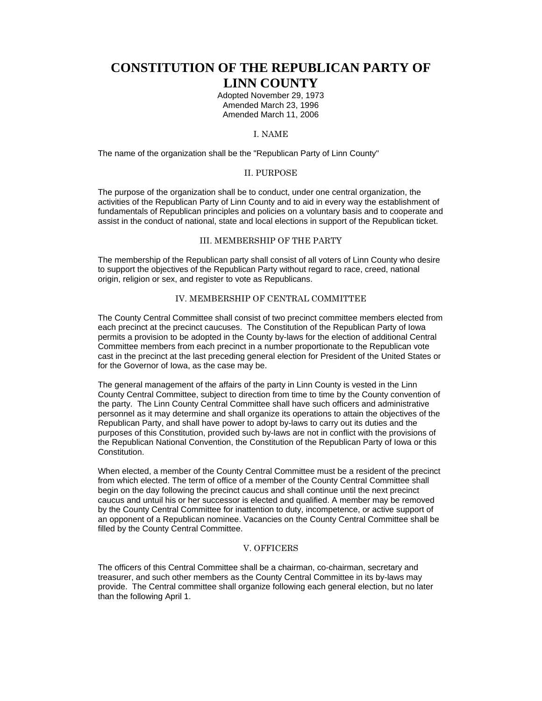# **CONSTITUTION OF THE REPUBLICAN PARTY OF LINN COUNTY**

Adopted November 29, 1973 Amended March 23, 1996 Amended March 11, 2006

# I. NAME

The name of the organization shall be the "Republican Party of Linn County"

#### II. PURPOSE

The purpose of the organization shall be to conduct, under one central organization, the activities of the Republican Party of Linn County and to aid in every way the establishment of fundamentals of Republican principles and policies on a voluntary basis and to cooperate and assist in the conduct of national, state and local elections in support of the Republican ticket.

## III. MEMBERSHIP OF THE PARTY

The membership of the Republican party shall consist of all voters of Linn County who desire to support the objectives of the Republican Party without regard to race, creed, national origin, religion or sex, and register to vote as Republicans.

## IV. MEMBERSHIP OF CENTRAL COMMITTEE

The County Central Committee shall consist of two precinct committee members elected from each precinct at the precinct caucuses. The Constitution of the Republican Party of Iowa permits a provision to be adopted in the County by-laws for the election of additional Central Committee members from each precinct in a number proportionate to the Republican vote cast in the precinct at the last preceding general election for President of the United States or for the Governor of Iowa, as the case may be.

The general management of the affairs of the party in Linn County is vested in the Linn County Central Committee, subject to direction from time to time by the County convention of the party. The Linn County Central Committee shall have such officers and administrative personnel as it may determine and shall organize its operations to attain the objectives of the Republican Party, and shall have power to adopt by-laws to carry out its duties and the purposes of this Constitution, provided such by-laws are not in conflict with the provisions of the Republican National Convention, the Constitution of the Republican Party of Iowa or this **Constitution** 

When elected, a member of the County Central Committee must be a resident of the precinct from which elected. The term of office of a member of the County Central Committee shall begin on the day following the precinct caucus and shall continue until the next precinct caucus and untuil his or her successor is elected and qualified. A member may be removed by the County Central Committee for inattention to duty, incompetence, or active support of an opponent of a Republican nominee. Vacancies on the County Central Committee shall be filled by the County Central Committee.

## V. OFFICERS

The officers of this Central Committee shall be a chairman, co-chairman, secretary and treasurer, and such other members as the County Central Committee in its by-laws may provide. The Central committee shall organize following each general election, but no later than the following April 1.